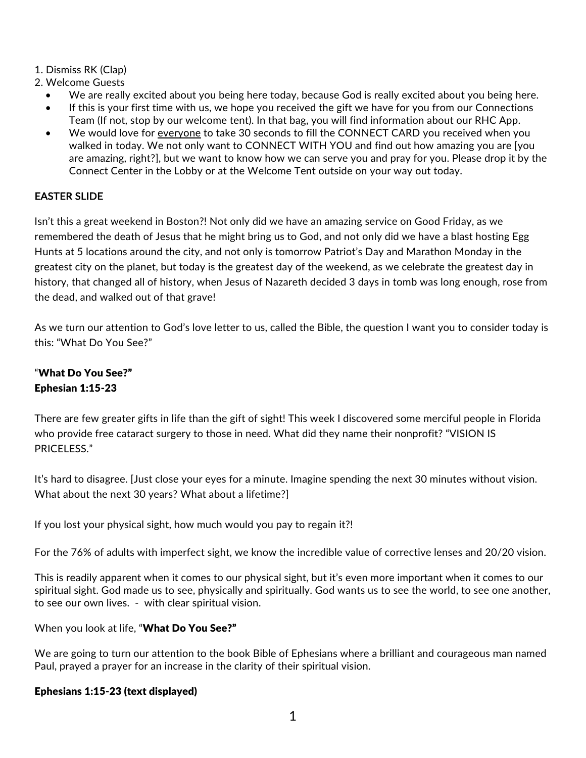- 1. Dismiss RK (Clap)
- 2. Welcome Guests
	- We are really excited about you being here today, because God is really excited about you being here.
	- If this is your first time with us, we hope you received the gift we have for you from our Connections Team (If not, stop by our welcome tent). In that bag, you will find information about our RHC App.
	- We would love for everyone to take 30 seconds to fill the CONNECT CARD you received when you walked in today. We not only want to CONNECT WITH YOU and find out how amazing you are [you are amazing, right?], but we want to know how we can serve you and pray for you. Please drop it by the Connect Center in the Lobby or at the Welcome Tent outside on your way out today.

# EASTER SLIDE

Isn't this a great weekend in Boston?! Not only did we have an amazing service on Good Friday, as we remembered the death of Jesus that he might bring us to God, and not only did we have a blast hosting Egg Hunts at 5 locations around the city, and not only is tomorrow Patriot's Day and Marathon Monday in the greatest city on the planet, but today is the greatest day of the weekend, as we celebrate the greatest day in history, that changed all of history, when Jesus of Nazareth decided 3 days in tomb was long enough, rose from the dead, and walked out of that grave!

As we turn our attention to God's love letter to us, called the Bible, the question I want you to consider today is this: "What Do You See?"

# "What Do You See?" Ephesian 1:15-23

There are few greater gifts in life than the gift of sight! This week I discovered some merciful people in Florida who provide free cataract surgery to those in need. What did they name their nonprofit? "VISION IS PRICELESS."

It's hard to disagree. [Just close your eyes for a minute. Imagine spending the next 30 minutes without vision. What about the next 30 years? What about a lifetime?]

If you lost your physical sight, how much would you pay to regain it?!

For the 76% of adults with imperfect sight, we know the incredible value of corrective lenses and 20/20 vision.

This is readily apparent when it comes to our physical sight, but it's even more important when it comes to our spiritual sight. God made us to see, physically and spiritually. God wants us to see the world, to see one another, to see our own lives. - with clear spiritual vision.

When you look at life, "What Do You See?"

We are going to turn our attention to the book Bible of Ephesians where a brilliant and courageous man named Paul, prayed a prayer for an increase in the clarity of their spiritual vision.

## Ephesians 1:15-23 (text displayed)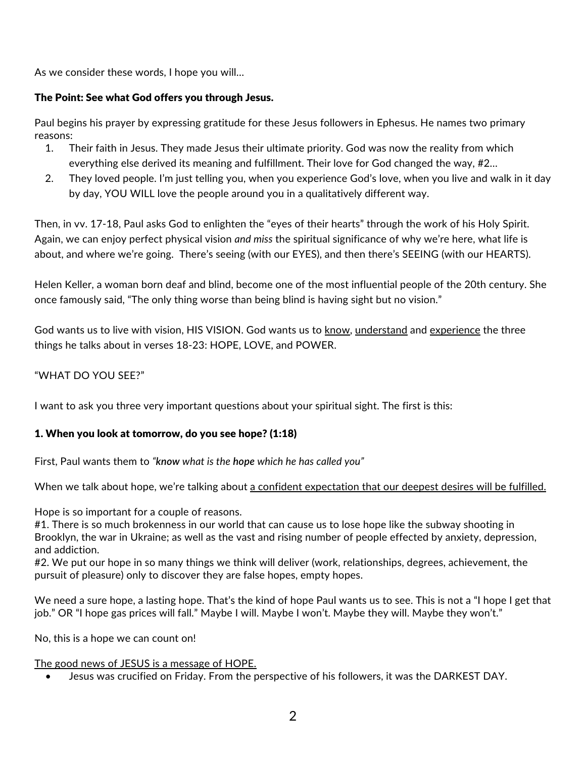As we consider these words, I hope you will…

#### The Point: See what God offers you through Jesus.

Paul begins his prayer by expressing gratitude for these Jesus followers in Ephesus. He names two primary reasons:

- 1. Their faith in Jesus. They made Jesus their ultimate priority. God was now the reality from which everything else derived its meaning and fulfillment. Their love for God changed the way, #2…
- 2. They loved people. I'm just telling you, when you experience God's love, when you live and walk in it day by day, YOU WILL love the people around you in a qualitatively different way.

Then, in vv. 17-18, Paul asks God to enlighten the "eyes of their hearts" through the work of his Holy Spirit. Again, we can enjoy perfect physical vision *and miss* the spiritual significance of why we're here, what life is about, and where we're going. There's seeing (with our EYES), and then there's SEEING (with our HEARTS).

Helen Keller, a woman born deaf and blind, become one of the most influential people of the 20th century. She once famously said, "The only thing worse than being blind is having sight but no vision."

God wants us to live with vision, HIS VISION. God wants us to know, understand and experience the three things he talks about in verses 18-23: HOPE, LOVE, and POWER.

### "WHAT DO YOU SEE?"

I want to ask you three very important questions about your spiritual sight. The first is this:

#### 1. When you look at tomorrow, do you see hope? (1:18)

First, Paul wants them to *"know what is the hope which he has called you"*

When we talk about hope, we're talking about a confident expectation that our deepest desires will be fulfilled.

Hope is so important for a couple of reasons.

#1. There is so much brokenness in our world that can cause us to lose hope like the subway shooting in Brooklyn, the war in Ukraine; as well as the vast and rising number of people effected by anxiety, depression, and addiction.

#2. We put our hope in so many things we think will deliver (work, relationships, degrees, achievement, the pursuit of pleasure) only to discover they are false hopes, empty hopes.

We need a sure hope, a lasting hope. That's the kind of hope Paul wants us to see. This is not a "I hope I get that job." OR "I hope gas prices will fall." Maybe I will. Maybe I won't. Maybe they will. Maybe they won't."

No, this is a hope we can count on!

#### The good news of JESUS is a message of HOPE.

• Jesus was crucified on Friday. From the perspective of his followers, it was the DARKEST DAY.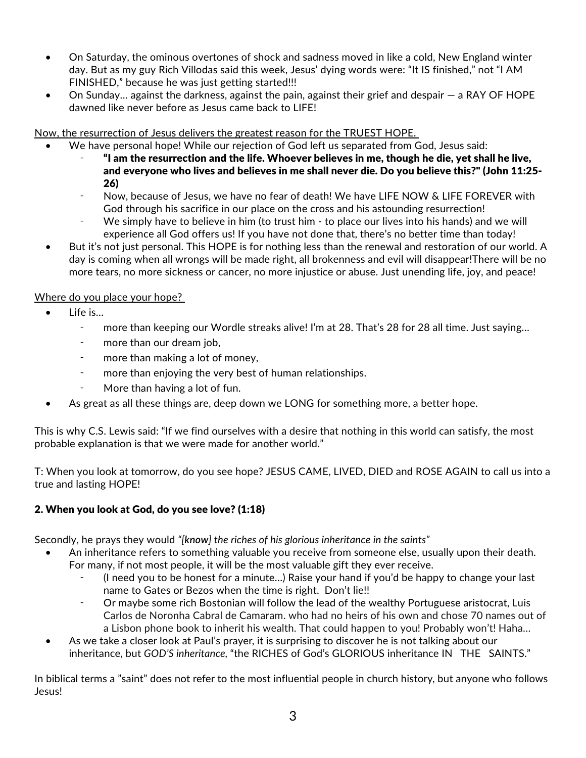- On Saturday, the ominous overtones of shock and sadness moved in like a cold, New England winter day. But as my guy Rich Villodas said this week, Jesus' dying words were: "It IS finished," not "I AM FINISHED," because he was just getting started!!!
- On Sunday… against the darkness, against the pain, against their grief and despair a RAY OF HOPE dawned like never before as Jesus came back to LIFE!

Now, the resurrection of Jesus delivers the greatest reason for the TRUEST HOPE.

- We have personal hope! While our rejection of God left us separated from God, Jesus said:
	- ⁃ "I am the resurrection and the life. Whoever believes in me, though he die, yet shall he live, and everyone who lives and believes in me shall never die. Do you believe this?" (John 11:25- 26)
	- Now, because of Jesus, we have no fear of death! We have LIFE NOW & LIFE FOREVER with God through his sacrifice in our place on the cross and his astounding resurrection!
	- We simply have to believe in him (to trust him to place our lives into his hands) and we will experience all God offers us! If you have not done that, there's no better time than today!
- But it's not just personal. This HOPE is for nothing less than the renewal and restoration of our world. A day is coming when all wrongs will be made right, all brokenness and evil will disappear!There will be no more tears, no more sickness or cancer, no more injustice or abuse. Just unending life, joy, and peace!

## Where do you place your hope?

- Life is...
	- ⁃ more than keeping our Wordle streaks alive! I'm at 28. That's 28 for 28 all time. Just saying…
	- ⁃ more than our dream job,
	- more than making a lot of money,
	- more than enjoying the very best of human relationships.
	- More than having a lot of fun.
- As great as all these things are, deep down we LONG for something more, a better hope.

This is why C.S. Lewis said: "If we find ourselves with a desire that nothing in this world can satisfy, the most probable explanation is that we were made for another world."

T: When you look at tomorrow, do you see hope? JESUS CAME, LIVED, DIED and ROSE AGAIN to call us into a true and lasting HOPE!

## 2. When you look at God, do you see love? (1:18)

Secondly, he prays they would *"[know] the riches of his glorious inheritance in the saints"*

- An inheritance refers to something valuable you receive from someone else, usually upon their death. For many, if not most people, it will be the most valuable gift they ever receive.
	- ⁃ (I need you to be honest for a minute…) Raise your hand if you'd be happy to change your last name to Gates or Bezos when the time is right. Don't lie!!
	- ⁃ Or maybe some rich Bostonian will follow the lead of the wealthy Portuguese aristocrat, Luis Carlos de Noronha Cabral de Camaram. who had no heirs of his own and chose 70 names out of a Lisbon phone book to inherit his wealth. That could happen to you! Probably won't! Haha…
- As we take a closer look at Paul's prayer, it is surprising to discover he is not talking about our inheritance, but *GOD'S inheritance,* "the RICHES of God's GLORIOUS inheritance IN THE SAINTS."

In biblical terms a "saint" does not refer to the most influential people in church history, but anyone who follows Jesus!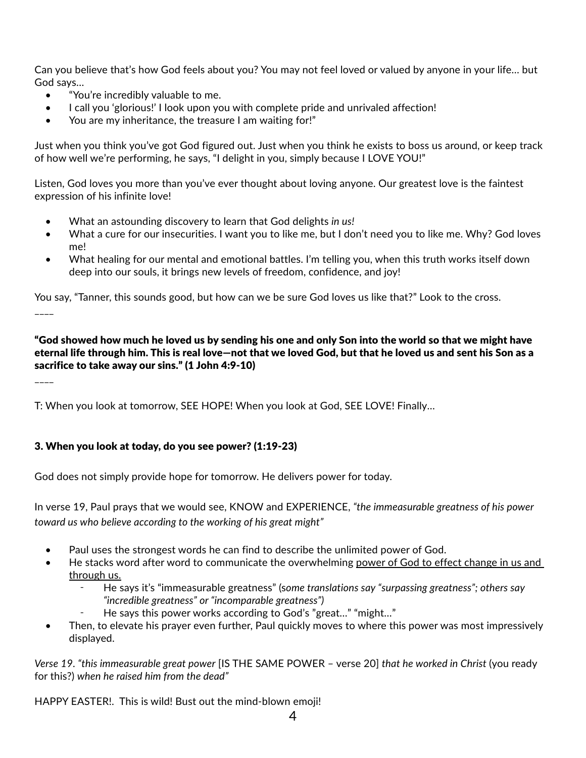Can you believe that's how God feels about you? You may not feel loved or valued by anyone in your life… but God says…

- "You're incredibly valuable to me.
- I call you 'glorious!' I look upon you with complete pride and unrivaled affection!
- You are my inheritance, the treasure I am waiting for!"

Just when you think you've got God figured out. Just when you think he exists to boss us around, or keep track of how well we're performing, he says, "I delight in you, simply because I LOVE YOU!"

Listen, God loves you more than you've ever thought about loving anyone. Our greatest love is the faintest expression of his infinite love!

- What an astounding discovery to learn that God delights *in us!*
- What a cure for our insecurities. I want you to like me, but I don't need you to like me. Why? God loves me!
- What healing for our mental and emotional battles. I'm telling you, when this truth works itself down deep into our souls, it brings new levels of freedom, confidence, and joy!

You say, "Tanner, this sounds good, but how can we be sure God loves us like that?" Look to the cross.  $\overline{\phantom{a}}$ 

"God showed how much he loved us by sending his one and only Son into the world so that we might have eternal life through him. This is real love—not that we loved God, but that he loved us and sent his Son as a sacrifice to take away our sins." (1 John 4:9-10)

 $\overline{\phantom{a}}$ 

T: When you look at tomorrow, SEE HOPE! When you look at God, SEE LOVE! Finally…

#### 3. When you look at today, do you see power? (1:19-23)

God does not simply provide hope for tomorrow. He delivers power for today.

In verse 19, Paul prays that we would see, KNOW and EXPERIENCE, *"the immeasurable greatness of his power toward us who believe according to the working of his great might"*

- Paul uses the strongest words he can find to describe the unlimited power of God.
- He stacks word after word to communicate the overwhelming power of God to effect change in us and through us.
	- ⁃ He says it's "immeasurable greatness" (s*ome translations say "surpassing greatness"; others say "incredible greatness" or "incomparable greatness")*
		- He says this power works according to God's "great..." "might..."
- Then, to elevate his prayer even further, Paul quickly moves to where this power was most impressively displayed.

*Verse 19. "this immeasurable great power* [IS THE SAME POWER – verse 20] *that he worked in Christ* (you ready for this?) *when he raised him from the dead"* 

HAPPY EASTER!. This is wild! Bust out the mind-blown emoji!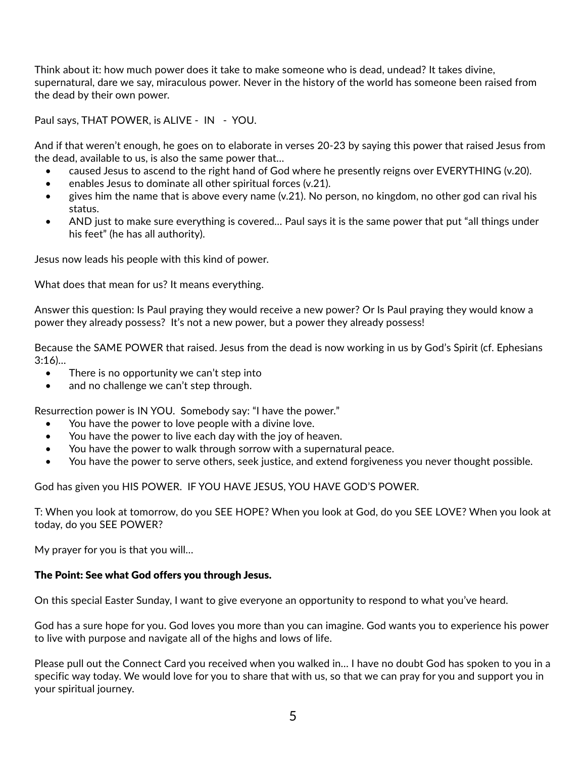Think about it: how much power does it take to make someone who is dead, undead? It takes divine, supernatural, dare we say, miraculous power. Never in the history of the world has someone been raised from the dead by their own power.

Paul says, THAT POWER, is ALIVE - IN - YOU.

And if that weren't enough, he goes on to elaborate in verses 20-23 by saying this power that raised Jesus from the dead, available to us, is also the same power that…

- caused Jesus to ascend to the right hand of God where he presently reigns over EVERYTHING (v.20).
- enables Jesus to dominate all other spiritual forces (v.21).
- gives him the name that is above every name (v.21). No person, no kingdom, no other god can rival his status.
- AND just to make sure everything is covered... Paul says it is the same power that put "all things under" his feet" (he has all authority).

Jesus now leads his people with this kind of power.

What does that mean for us? It means everything.

Answer this question: Is Paul praying they would receive a new power? Or Is Paul praying they would know a power they already possess? It's not a new power, but a power they already possess!

Because the SAME POWER that raised. Jesus from the dead is now working in us by God's Spirit (cf. Ephesians 3:16)…

- There is no opportunity we can't step into
- and no challenge we can't step through.

Resurrection power is IN YOU. Somebody say: "I have the power."

- You have the power to love people with a divine love.
- You have the power to live each day with the joy of heaven.
- You have the power to walk through sorrow with a supernatural peace.
- You have the power to serve others, seek justice, and extend forgiveness you never thought possible.

God has given you HIS POWER. IF YOU HAVE JESUS, YOU HAVE GOD'S POWER.

T: When you look at tomorrow, do you SEE HOPE? When you look at God, do you SEE LOVE? When you look at today, do you SEE POWER?

My prayer for you is that you will…

#### The Point: See what God offers you through Jesus.

On this special Easter Sunday, I want to give everyone an opportunity to respond to what you've heard.

God has a sure hope for you. God loves you more than you can imagine. God wants you to experience his power to live with purpose and navigate all of the highs and lows of life.

Please pull out the Connect Card you received when you walked in… I have no doubt God has spoken to you in a specific way today. We would love for you to share that with us, so that we can pray for you and support you in your spiritual journey.